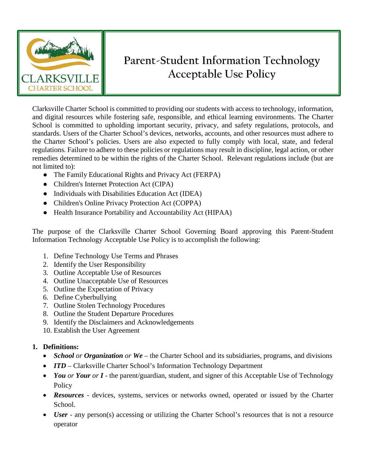

# **Parent-Student Information Technology Acceptable Use Policy**

Clarksville Charter School is committed to providing our students with access to technology, information, and digital resources while fostering safe, responsible, and ethical learning environments. The Charter School is committed to upholding important security, privacy, and safety regulations, protocols, and standards. Users of the Charter School's devices, networks, accounts, and other resources must adhere to the Charter School's policies. Users are also expected to fully comply with local, state, and federal regulations. Failure to adhere to these policies or regulations may result in discipline, legal action, or other remedies determined to be within the rights of the Charter School. Relevant regulations include (but are not limited to):

- The Family Educational Rights and Privacy Act (FERPA)
- Children's Internet Protection Act (CIPA)
- Individuals with Disabilities Education Act (IDEA)
- Children's Online Privacy Protection Act (COPPA)
- Health Insurance Portability and Accountability Act (HIPAA)

The purpose of the Clarksville Charter School Governing Board approving this Parent-Student Information Technology Acceptable Use Policy is to accomplish the following:

- 1. Define Technology Use Terms and Phrases
- 2. Identify the User Responsibility
- 3. Outline Acceptable Use of Resources
- 4. Outline Unacceptable Use of Resources
- 5. Outline the Expectation of Privacy
- 6. Define Cyberbullying
- 7. Outline Stolen Technology Procedures
- 8. Outline the Student Departure Procedures
- 9. Identify the Disclaimers and Acknowledgements
- 10. Establish the User Agreement

## **1. Definitions:**

- *School or Organization or We* the Charter School and its subsidiaries, programs, and divisions
- *ITD* Clarksville Charter School's Information Technology Department
- *You or Your or I* the parent/guardian, student, and signer of this Acceptable Use of Technology Policy
- *Resources* devices, systems, services or networks owned, operated or issued by the Charter School.
- *User* any person(s) accessing or utilizing the Charter School's resources that is not a resource operator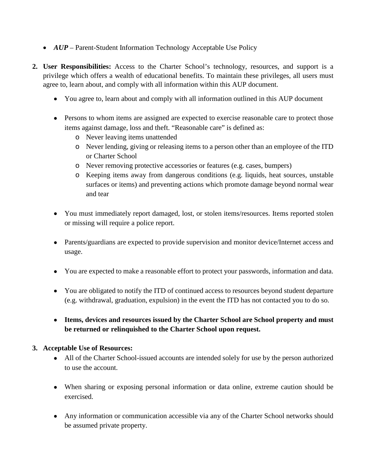- *AUP* Parent-Student Information Technology Acceptable Use Policy
- **2. User Responsibilities:** Access to the Charter School's technology, resources, and support is a privilege which offers a wealth of educational benefits. To maintain these privileges, all users must agree to, learn about, and comply with all information within this AUP document.
	- You agree to, learn about and comply with all information outlined in this AUP document
	- Persons to whom items are assigned are expected to exercise reasonable care to protect those items against damage, loss and theft. "Reasonable care" is defined as:
		- o Never leaving items unattended
		- o Never lending, giving or releasing items to a person other than an employee of the ITD or Charter School
		- o Never removing protective accessories or features (e.g. cases, bumpers)
		- o Keeping items away from dangerous conditions (e.g. liquids, heat sources, unstable surfaces or items) and preventing actions which promote damage beyond normal wear and tear
	- You must immediately report damaged, lost, or stolen items/resources. Items reported stolen or missing will require a police report.
	- Parents/guardians are expected to provide supervision and monitor device/Internet access and usage.
	- You are expected to make a reasonable effort to protect your passwords, information and data.
	- You are obligated to notify the ITD of continued access to resources beyond student departure (e.g. withdrawal, graduation, expulsion) in the event the ITD has not contacted you to do so.
	- **Items, devices and resources issued by the Charter School are School property and must be returned or relinquished to the Charter School upon request.**

### **3. Acceptable Use of Resources:**

- All of the Charter School-issued accounts are intended solely for use by the person authorized to use the account.
- When sharing or exposing personal information or data online, extreme caution should be exercised.
- Any information or communication accessible via any of the Charter School networks should be assumed private property.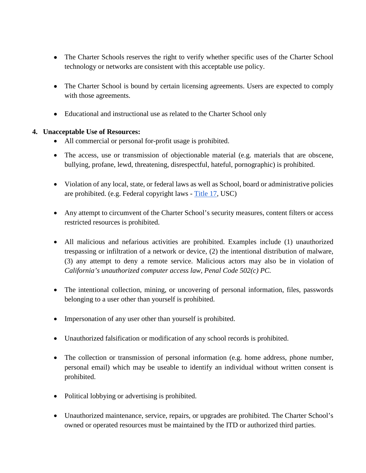- The Charter Schools reserves the right to verify whether specific uses of the Charter School technology or networks are consistent with this acceptable use policy.
- The Charter School is bound by certain licensing agreements. Users are expected to comply with those agreements.
- Educational and instructional use as related to the Charter School only

### **4. Unacceptable Use of Resources:**

- All commercial or personal for-profit usage is prohibited.
- The access, use or transmission of objectionable material (e.g. materials that are obscene, bullying, profane, lewd, threatening, disrespectful, hateful, pornographic) is prohibited.
- Violation of any local, state, or federal laws as well as School, board or administrative policies are prohibited. (e.g. Federal copyright laws - [Title 17,](https://www.copyright.gov/title17/) USC)
- Any attempt to circumvent of the Charter School's security measures, content filters or access restricted resources is prohibited.
- All malicious and nefarious activities are prohibited. Examples include (1) unauthorized trespassing or infiltration of a network or device, (2) the intentional distribution of malware, (3) any attempt to deny a remote service. Malicious actors may also be in violation of *California's unauthorized computer access law, Penal Code 502(c) PC.*
- The intentional collection, mining, or uncovering of personal information, files, passwords belonging to a user other than yourself is prohibited.
- Impersonation of any user other than yourself is prohibited.
- Unauthorized falsification or modification of any school records is prohibited.
- The collection or transmission of personal information (e.g. home address, phone number, personal email) which may be useable to identify an individual without written consent is prohibited.
- Political lobbying or advertising is prohibited.
- Unauthorized maintenance, service, repairs, or upgrades are prohibited. The Charter School's owned or operated resources must be maintained by the ITD or authorized third parties.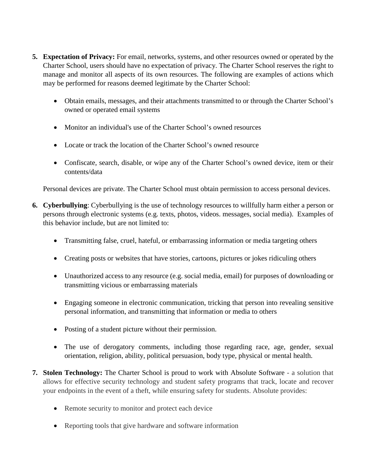- **5. Expectation of Privacy:** For email, networks, systems, and other resources owned or operated by the Charter School, users should have no expectation of privacy. The Charter School reserves the right to manage and monitor all aspects of its own resources. The following are examples of actions which may be performed for reasons deemed legitimate by the Charter School:
	- Obtain emails, messages, and their attachments transmitted to or through the Charter School's owned or operated email systems
	- Monitor an individual's use of the Charter School's owned resources
	- Locate or track the location of the Charter School's owned resource
	- Confiscate, search, disable, or wipe any of the Charter School's owned device, item or their contents/data

Personal devices are private. The Charter School must obtain permission to access personal devices.

- **6. Cyberbullying**: Cyberbullying is the use of technology resources to willfully harm either a person or persons through electronic systems (e.g. texts, photos, videos. messages, social media). Examples of this behavior include, but are not limited to:
	- Transmitting false, cruel, hateful, or embarrassing information or media targeting others
	- Creating posts or websites that have stories, cartoons, pictures or jokes ridiculing others
	- Unauthorized access to any resource (e.g. social media, email) for purposes of downloading or transmitting vicious or embarrassing materials
	- Engaging someone in electronic communication, tricking that person into revealing sensitive personal information, and transmitting that information or media to others
	- Posting of a student picture without their permission.
	- The use of derogatory comments, including those regarding race, age, gender, sexual orientation, religion, ability, political persuasion, body type, physical or mental health.
- **7. Stolen Technology:** The Charter School is proud to work with Absolute Software a solution that allows for effective security technology and student safety programs that track, locate and recover your endpoints in the event of a theft, while ensuring safety for students. Absolute provides:
	- Remote security to monitor and protect each device
	- Reporting tools that give hardware and software information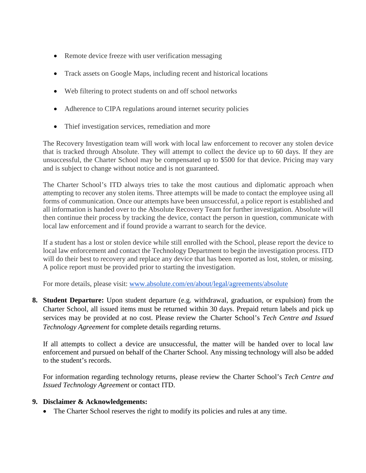- Remote device freeze with user verification messaging
- Track assets on Google Maps, including recent and historical locations
- Web filtering to protect students on and off school networks
- Adherence to CIPA regulations around internet security policies
- Thief investigation services, remediation and more

The Recovery Investigation team will work with local law enforcement to recover any stolen device that is tracked through Absolute. They will attempt to collect the device up to 60 days. If they are unsuccessful, the Charter School may be compensated up to \$500 for that device. Pricing may vary and is subject to change without notice and is not guaranteed.

The Charter School's ITD always tries to take the most cautious and diplomatic approach when attempting to recover any stolen items. Three attempts will be made to contact the employee using all forms of communication. Once our attempts have been unsuccessful, a police report is established and all information is handed over to the Absolute Recovery Team for further investigation. Absolute will then continue their process by tracking the device, contact the person in question, communicate with local law enforcement and if found provide a warrant to search for the device.

If a student has a lost or stolen device while still enrolled with the School, please report the device to local law enforcement and contact the Technology Department to begin the investigation process. ITD will do their best to recovery and replace any device that has been reported as lost, stolen, or missing. A police report must be provided prior to starting the investigation.

For more details, please visit: [www.absolute.com/en/about/legal/agreements/absolute](http://www.absolute.com/en/about/legal/agreements/absolute)

**8. Student Departure:** Upon student departure (e.g. withdrawal, graduation, or expulsion) from the Charter School, all issued items must be returned within 30 days. Prepaid return labels and pick up services may be provided at no cost. Please review the Charter School's *Tech Centre and Issued Technology Agreement* for complete details regarding returns.

If all attempts to collect a device are unsuccessful, the matter will be handed over to local law enforcement and pursued on behalf of the Charter School. Any missing technology will also be added to the student's records.

For information regarding technology returns, please review the Charter School's *Tech Centre and Issued Technology Agreement* or contact ITD.

### **9. Disclaimer & Acknowledgements:**

• The Charter School reserves the right to modify its policies and rules at any time.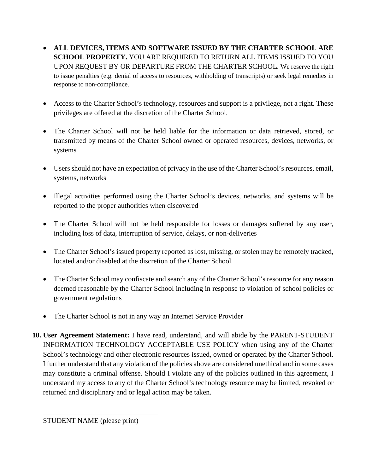- **ALL DEVICES, ITEMS AND SOFTWARE ISSUED BY THE CHARTER SCHOOL ARE SCHOOL PROPERTY.** YOU ARE REQUIRED TO RETURN ALL ITEMS ISSUED TO YOU UPON REQUEST BY OR DEPARTURE FROM THE CHARTER SCHOOL. We reserve the right to issue penalties (e.g. denial of access to resources, withholding of transcripts) or seek legal remedies in response to non-compliance.
- Access to the Charter School's technology, resources and support is a privilege, not a right. These privileges are offered at the discretion of the Charter School.
- The Charter School will not be held liable for the information or data retrieved, stored, or transmitted by means of the Charter School owned or operated resources, devices, networks, or systems
- Users should not have an expectation of privacy in the use of the Charter School's resources, email, systems, networks
- Illegal activities performed using the Charter School's devices, networks, and systems will be reported to the proper authorities when discovered
- The Charter School will not be held responsible for losses or damages suffered by any user, including loss of data, interruption of service, delays, or non-deliveries
- The Charter School's issued property reported as lost, missing, or stolen may be remotely tracked, located and/or disabled at the discretion of the Charter School.
- The Charter School may confiscate and search any of the Charter School's resource for any reason deemed reasonable by the Charter School including in response to violation of school policies or government regulations
- The Charter School is not in any way an Internet Service Provider
- **10. User Agreement Statement:** I have read, understand, and will abide by the PARENT-STUDENT INFORMATION TECHNOLOGY ACCEPTABLE USE POLICY when using any of the Charter School's technology and other electronic resources issued, owned or operated by the Charter School. I further understand that any violation of the policies above are considered unethical and in some cases may constitute a criminal offense. Should I violate any of the policies outlined in this agreement, I understand my access to any of the Charter School's technology resource may be limited, revoked or returned and disciplinary and or legal action may be taken.

\_\_\_\_\_\_\_\_\_\_\_\_\_\_\_\_\_\_\_\_\_\_\_\_\_\_\_\_\_\_\_\_